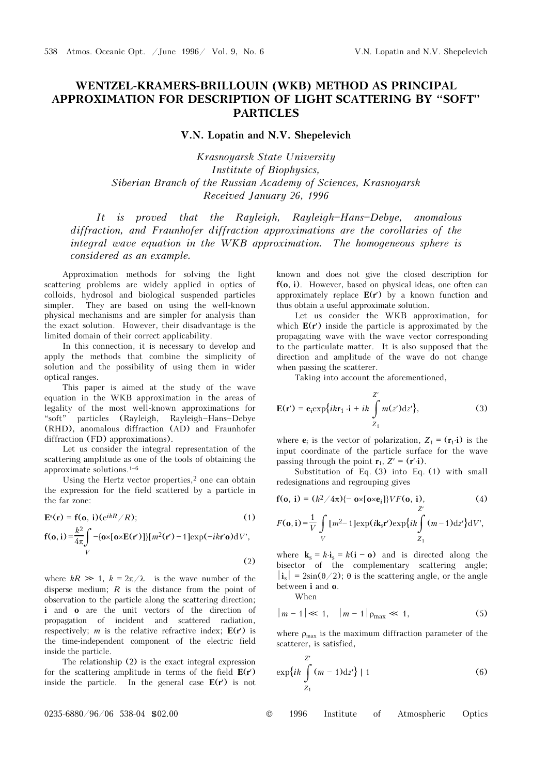## **WENTZEL-KRAMERS-BRILLOUIN (WKB) METHOD AS PRINCIPAL APPROXIMATION FOR DESCRIPTION OF LIGHT SCATTERING BY "SOFT" PARTICLES**

**V.N. Lopatin and N.V. Shepelevich** 

*Krasnoyarsk State University Institute of Biophysics, Siberian Branch of the Russian Academy of Sciences, Krasnoyarsk Received January 26, 1996* 

It is proved that the Rayleigh, Rayleigh-Hans-Debye, anomalous *diffraction, and Fraunhofer diffraction approximations are the corollaries of the integral wave equation in the WKB approximation. The homogeneous sphere is considered as an example.*

Approximation methods for solving the light scattering problems are widely applied in optics of colloids, hydrosol and biological suspended particles simpler. They are based on using the well-known physical mechanisms and are simpler for analysis than the exact solution. However, their disadvantage is the limited domain of their correct applicability.

In this connection, it is necessary to develop and apply the methods that combine the simplicity of solution and the possibility of using them in wider optical ranges.

This paper is aimed at the study of the wave equation in the WKB approximation in the areas of legality of the most well-known approximations for "soft" particles (Rayleigh, Rayleigh-Hans-Debye (RHD), anomalous diffraction (AD) and Fraunhofer diffraction (FD) approximations).

Let us consider the integral representation of the scattering amplitude as one of the tools of obtaining the approximate solutions.  $^{1-6}$ 

Using the Hertz vector properties, $2$  one can obtain the expression for the field scattered by a particle in the far zone:

$$
\mathbf{E}^{s}(\mathbf{r}) = \mathbf{f}(\mathbf{o}, \mathbf{i}) (e^{ikR}/R); \qquad (1)
$$
  
\n
$$
\mathbf{f}(\mathbf{o}, \mathbf{i}) = \frac{k^{2}}{4\pi} \int_{V} -\{\mathbf{o} \times [\mathbf{o} \times \mathbf{E}(\mathbf{r}')] \} [m^{2}(\mathbf{r}') - 1] \exp(-ik\mathbf{r}'\mathbf{o}) dV',
$$
  
\n(2)

where  $kR \gg 1$ ,  $k = 2\pi/\lambda$  is the wave number of the disperse medium; *R* is the distance from the point of observation to the particle along the scattering direction; **i** and **o** are the unit vectors of the direction of propagation of incident and scattered radiation, respectively; *m* is the relative refractive index;  $E(r')$  is the time-independent component of the electric field inside the particle.

The relationship (2) is the exact integral expression for the scattering amplitude in terms of the field **E**(**r**′) inside the particle. In the general case **E**(**r**′) is not

known and does not give the closed description for **f**(**o**, **i**). However, based on physical ideas, one often can approximately replace **E**(**r**′) by a known function and thus obtain a useful approximate solution.

Let us consider the WKB approximation, for which **E**(**r**′) inside the particle is approximated by the propagating wave with the wave vector corresponding to the particulate matter. It is also supposed that the direction and amplitude of the wave do not change when passing the scatterer.

Taking into account the aforementioned,

$$
\mathbf{E}(\mathbf{r}') = \mathbf{e}_i \exp\{ik\mathbf{r}_1 \cdot \mathbf{i} + ik \int_{Z_1}^{Z'} m(z') \mathrm{d}z'\},\tag{3}
$$

where **e**<sub>*i*</sub> is the vector of polarization,  $Z_1 = (\mathbf{r}_1 \cdot \mathbf{i})$  is the input coordinate of the particle surface for the wave passing through the point  $\mathbf{r}_1$ ,  $Z' = (\mathbf{r}'\cdot\mathbf{i})$ .

Substitution of Eq. (3) into Eq. (1) with small redesignations and regrouping gives

$$
\mathbf{f}(\mathbf{o},\mathbf{i}) = (k^2/4\pi)\{-\mathbf{o}\times[\mathbf{o}\times\mathbf{e}_i]\}VF(\mathbf{o},\mathbf{i}),
$$
\n(4)

$$
F(\mathbf{o}, \mathbf{i}) = \frac{1}{V} \int\limits_V [m^2 - 1] \exp(i\mathbf{k}_s \mathbf{r}') \exp\{ik \int\limits_{Z_1} (m - 1) \mathrm{d}z'\} \mathrm{d}V',
$$

where  $\mathbf{k}_s = k \cdot \mathbf{i}_s = k(i - \mathbf{o})$  and is directed along the bisector of the complementary scattering angle;  $|\mathbf{i}_{s}| = 2\sin(\theta/2)$ ;  $\theta$  is the scattering angle, or the angle between **i** and **o**.

When

$$
|m-1| \ll 1, \quad |m-1|_{\rho_{\text{max}}} \ll 1,\tag{5}
$$

where  $\rho_{\text{max}}$  is the maximum diffraction parameter of the scatterer, is satisfied,

$$
\exp\{ik\int\limits_{Z_1}^{Z'}(m-1)\mathrm{d}z'\} \mid 1\tag{6}
$$

0235-6880/96/06 538-04 \$02.00 © 1996 Institute of Atmospheric Optics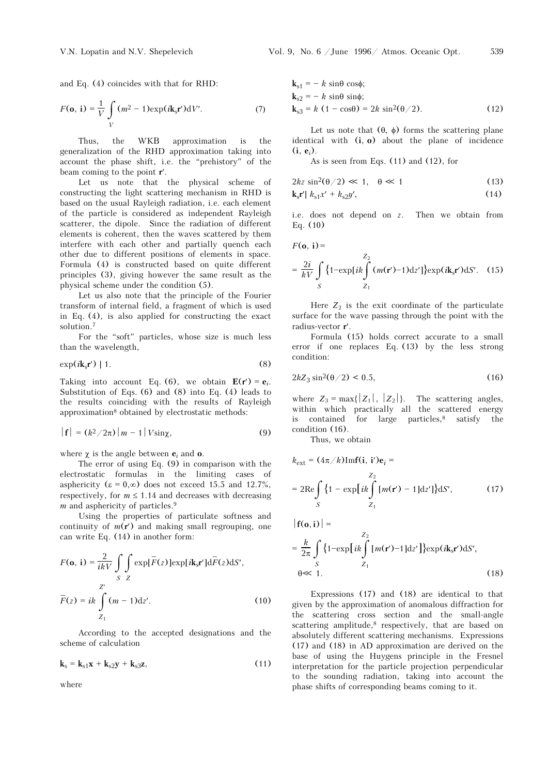$$
F(\mathbf{o}, \mathbf{i}) = \frac{1}{V} \int_{V} (m^2 - 1) \exp(i\mathbf{k}_s \mathbf{r}') dV'. \tag{7}
$$

Thus, the WKB approximation is the generalization of the RHD approximation taking into account the phase shift, i.e. the "prehistory" of the beam coming to the point **r**′.

Let us note that the physical scheme of constructing the light scattering mechanism in RHD is based on the usual Rayleigh radiation, i.e. each element of the particle is considered as independent Rayleigh scatterer, the dipole. Since the radiation of different elements is coherent, then the waves scattered by them interfere with each other and partially quench each other due to different positions of elements in space. Formula (4) is constructed based on quite different principles (3), giving however the same result as the physical scheme under the condition (5).

Let us also note that the principle of the Fourier transform of internal field, a fragment of which is used in Eq. (4), is also applied for constructing the exact solution.7

For the "soft" particles, whose size is much less than the wavelength,

$$
\exp(i\mathbf{k}_s \mathbf{r}') \mid 1. \tag{8}
$$

Taking into account Eq. (6), we obtain  $E(r') = e_i$ . Substitution of Eqs. (6) and (8) into Eq. (4) leads to the results coinciding with the results of Rayleigh approximation8 obtained by electrostatic methods:

$$
|\mathbf{f}| = (k^2/2\pi) |m-1| V \sin \chi, \qquad (9)
$$

where  $\chi$  is the angle between  $e_i$  and  $o$ .

The error of using Eq. (9) in comparison with the electrostatic formulas in the limiting cases of asphericity ( $\varepsilon = 0, \infty$ ) does not exceed 15.5 and 12.7%, respectively, for  $m \leq 1.14$  and decreases with decreasing *m* and asphericity of particles.<sup>9</sup>

Using the properties of particulate softness and continuity of  $m(r')$  and making small regrouping, one can write Eq. (14) in another form:

$$
F(\mathbf{o}, \mathbf{i}) = \frac{2}{ikV} \int_{S} \int_{Z} \exp[\overline{F}(z)] \exp[i\mathbf{k}_{s} \mathbf{r}'] d\overline{F}(z) dS',
$$
  

$$
Z'
$$
  

$$
\overline{F}(z) = ik \int_{Z_1}^{Z'} (m - 1) dz'.
$$
 (10)

According to the accepted designations and the scheme of calculation

$$
\mathbf{k}_{\mathrm{s}} = \mathbf{k}_{\mathrm{s1}} \mathbf{x} + \mathbf{k}_{\mathrm{s2}} \mathbf{y} + \mathbf{k}_{\mathrm{s3}} \mathbf{z},\tag{11}
$$

where

Vol. 9, No. 6 / June 
$$
1996 / \text{ Atmos. Oceanic Opt.}
$$
 539

$$
\mathbf{k}_{s1} = -k \sin\theta \cos\phi; \n\mathbf{k}_{s2} = -k \sin\theta \sin\phi; \n\mathbf{k}_{s3} = k (1 - \cos\theta) = 2k \sin^2(\theta/2).
$$
\n(12)

Let us note that  $(θ, φ)$  forms the scattering plane identical with (**i**, **o**) about the plane of incidence  $(i, e_i)$ .

As is seen from Eqs. (11) and (12), for

$$
2kz\sin^2(\theta/2) \ll 1, \quad \theta \ll 1 \tag{13}
$$

$$
\mathbf{k}_{\mathrm{s}}\mathbf{r}'\vert\ k_{\mathrm{s}1}x'+k_{\mathrm{s}2}y',\tag{14}
$$

i.e. does not depend on *z*. Then we obtain from Eq. (10)

$$
F(\mathbf{o}, \mathbf{i}) =
$$
  
=  $\frac{2i}{kV} \int_{S} \{1-\exp[i\omega t] \int_{Z_1}^{Z_2} (m(\mathbf{r}')-1) \, dz'\} \exp(i\mathbf{k}_s \mathbf{r}') \, dS'.$  (15)

Here  $Z_2$  is the exit coordinate of the particulate surface for the wave passing through the point with the radius-vector **r**′.

Formula (15) holds correct accurate to a small error if one replaces Eq. (13) by the less strong condition:

$$
2kZ_3 \sin^2(\theta/2) < 0.5,\tag{16}
$$

where  $Z_3 = \max\{|Z_1|, |Z_2|\}$ . The scattering angles, within which practically all the scattered energy is contained for large particles, $8$  satisfy the condition (16).

Thus, we obtain

$$
k_{\text{ext}} = (4\pi/k)\text{Imf}(\mathbf{i}, \mathbf{i}')\mathbf{e}_i =
$$
  
\n
$$
= 2\text{Re}\int_{S} \{1 - \exp[i\mathbf{k}\int_{Z_1}^{\mathbf{r}} [m(\mathbf{r}') - 1] \, \mathrm{d}z']\} \mathrm{d}S', \tag{17}
$$

$$
|f(\mathbf{o}, \mathbf{i})| =
$$
  
=  $\frac{k}{2\pi} \int_{S} \{1 - \exp[iik \int_{Z_1}^{Z_2} [m(\mathbf{r}') - 1] \, dz'\} \exp(i\mathbf{k_s}\mathbf{r}') \, dS',$   
 $\theta \ll 1.$  (18)

Expressions (17) and (18) are identical to that given by the approximation of anomalous diffraction for the scattering cross section and the small-angle scattering amplitude, $8$  respectively, that are based on absolutely different scattering mechanisms. Expressions (17) and (18) in AD approximation are derived on the base of using the Huygens principle in the Fresnel interpretation for the particle projection perpendicular to the sounding radiation, taking into account the phase shifts of corresponding beams coming to it.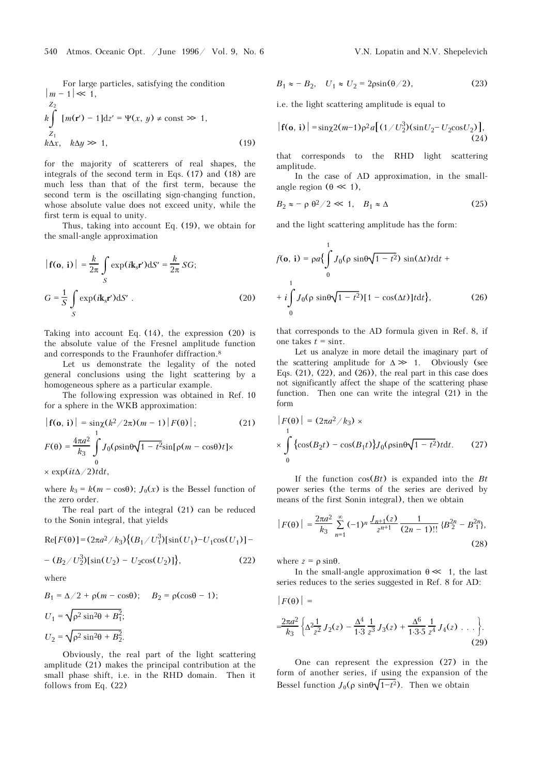For large particles, satisfying the condition  
\n
$$
|m - 1| \ll 1
$$
,  
\n $z_2$   
\n $k \int_{Z_1} [m(\mathbf{r}') - 1] dz' = \Psi(x, y) \neq \text{const} \gg 1$ ,  
\n $k \Delta x, k \Delta y \gg 1$ , (19)

for the majority of scatterers of real shapes, the integrals of the second term in Eqs. (17) and (18) are much less than that of the first term, because the second term is the oscillating sign-changing function, whose absolute value does not exceed unity, while the first term is equal to unity.

Thus, taking into account Eq. (19), we obtain for the small-angle approximation

$$
\begin{aligned} \left| \mathbf{f}(\mathbf{o}, \mathbf{i}) \right| &= \frac{k}{2\pi} \int_{S} \exp(i\mathbf{k}_{\rm s} \mathbf{r}') \mathrm{d}S' = \frac{k}{2\pi} \, SG; \\ G &= \frac{1}{S} \int_{S} \exp(i\mathbf{k}_{\rm s} \mathbf{r}') \mathrm{d}S' \end{aligned} \tag{20}
$$

Taking into account Eq.  $(14)$ , the expression  $(20)$  is the absolute value of the Fresnel amplitude function and corresponds to the Fraunhofer diffraction.8

Let us demonstrate the legality of the noted general conclusions using the light scattering by a homogeneous sphere as a particular example.

The following expression was obtained in Ref. 10 for a sphere in the WKB approximation:

$$
|\mathbf{f}(\mathbf{o}, \mathbf{i})| = \sin \chi (k^2 / 2\pi)(m - 1) |F(\theta)|; \tag{21}
$$
  

$$
F(\theta) = \frac{4\pi a^2}{k_3} \int_{0}^{1} J_0(\rho \sin \theta \sqrt{1 - t^2} \sin[\rho(m - \cos \theta)t] \times \exp(it\Delta/2) t dt,
$$

where  $k_3 = k(m - \cos\theta); J_0(x)$  is the Bessel function of the zero order.

The real part of the integral (21) can be reduced to the Sonin integral, that yields

$$
Re[F(\theta)] = (2\pi a^2 / k_3) \{ (B_1 / U_1^3) [\sin(U_1) - U_1 \cos(U_1)] - (B_2 / U_2^3) [\sin(U_2) - U_2 \cos(U_2)] \},
$$
\n(22)

where

$$
B_1 = \Delta/2 + \rho(m - \cos\theta); \quad B_2 = \rho(\cos\theta - 1);
$$
  
\n
$$
U_1 = \sqrt{\rho^2 \sin^2\theta + B_1^2};
$$
  
\n
$$
U_2 = \sqrt{\rho^2 \sin^2\theta + B_2^2}.
$$

Obviously, the real part of the light scattering amplitude (21) makes the principal contribution at the small phase shift, i.e. in the RHD domain. Then it follows from Eq. (22)

$$
B_1 \approx -B_2, \quad U_1 \approx U_2 = 2\rho \sin(\theta/2), \tag{23}
$$

i.e. the light scattering amplitude is equal to

$$
|\mathbf{f}(\mathbf{o},\mathbf{i})| = \sin\chi 2(m-1)\rho^2 a[(1/U_2^3)(\sin U_2 - U_2 \cos U_2)],
$$
\n(24)

that corresponds to the RHD light scattering amplitude.

In the case of AD approximation, in the smallangle region  $(\theta \ll 1)$ ,

$$
B_2 \approx -\rho \theta^2 / 2 \ll 1, \quad B_1 \approx \Delta \tag{25}
$$

and the light scattering amplitude has the form:

$$
f(\mathbf{o}, \mathbf{i}) = \rho a \left\{ \int_{0}^{1} J_0(\rho \sin \theta \sqrt{1 - t^2}) \sin(\Delta t) t dt + \right. \\
\left. + i \int_{0}^{1} J_0(\rho \sin \theta \sqrt{1 - t^2}) [1 - \cos(\Delta t)] t dt \right\},
$$
\n(26)

that corresponds to the AD formula given in Ref. 8, if one takes  $t = \sin \tau$ .

Let us analyze in more detail the imaginary part of the scattering amplitude for  $\Delta \gg 1$ . Obviously (see Eqs.  $(21)$ ,  $(22)$ , and  $(26)$ ), the real part in this case does not significantly affect the shape of the scattering phase function. Then one can write the integral (21) in the form

$$
|F(\theta)| = (2\pi a^2/k_3) \times
$$
  
\n
$$
\times \int_{0}^{1} {\cos(B_2 t) - \cos(B_1 t)} J_0(\sin\theta \sqrt{1 - t^2}) t dt. \qquad (27)
$$

If the function cos(*Bt*) is expanded into the *Bt* power series (the terms of the series are derived by means of the first Sonin integral), then we obtain

$$
|F(\theta)| = \frac{2\pi a^2}{k_3} \sum_{n=1}^{\infty} (-1)^n \frac{J_{n+1}(z)}{z^{n+1}} \frac{1}{(2n-1)!!} \{B_2^{2n} - B_1^{2n}\},\tag{28}
$$

where  $z = \rho \sin \theta$ .

In the small-angle approximation  $\theta \ll 1$ , the last series reduces to the series suggested in Ref. 8 for AD:

$$
|F(\theta)| =
$$
  
=  $\frac{2\pi a^2}{k_3} \left\{ \Delta \frac{2}{z^2} J_2(z) - \frac{\Delta^4}{1 \cdot 3} \frac{1}{z^3} J_3(z) + \frac{\Delta^6}{1 \cdot 3 \cdot 5} \frac{1}{z^4} J_4(z) \dots \right\}.$  (29)

One can represent the expression (27) in the form of another series, if using the expansion of the Bessel function  $J_0(\rho \sin{\theta} \sqrt{1-t^2})$ . Then we obtain